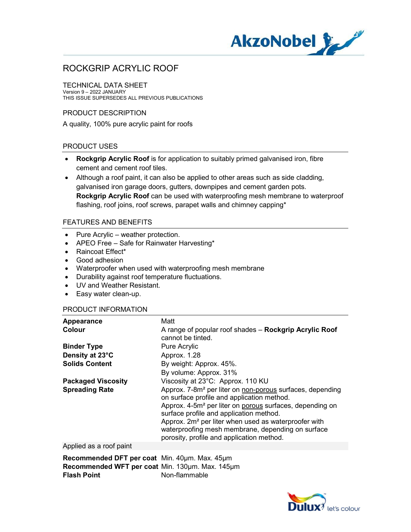

TECHNICAL DATA SHEET

Version 9 – 2022 JANUARY THIS ISSUE SUPERSEDES ALL PREVIOUS PUBLICATIONS

### PRODUCT DESCRIPTION

A quality, 100% pure acrylic paint for roofs

### PRODUCT USES

- Rockgrip Acrylic Roof is for application to suitably primed galvanised iron, fibre cement and cement roof tiles.
- Although a roof paint, it can also be applied to other areas such as side cladding, galvanised iron garage doors, gutters, downpipes and cement garden pots. Rockgrip Acrylic Roof can be used with waterproofing mesh membrane to waterproof flashing, roof joins, roof screws, parapet walls and chimney capping\*

#### FEATURES AND BENEFITS

- Pure Acrylic weather protection.
- APEO Free Safe for Rainwater Harvesting\*
- Raincoat Effect\*
- Good adhesion
- Waterproofer when used with waterproofing mesh membrane
- Durability against roof temperature fluctuations.
- UV and Weather Resistant.
- Easy water clean-up.

#### PRODUCT INFORMATION

| Matt                                                                                                                                                               |
|--------------------------------------------------------------------------------------------------------------------------------------------------------------------|
| A range of popular roof shades – Rockgrip Acrylic Roof<br>cannot be tinted.                                                                                        |
| Pure Acrylic                                                                                                                                                       |
| Approx. 1.28                                                                                                                                                       |
| By weight: Approx. 45%.                                                                                                                                            |
| By volume: Approx. 31%                                                                                                                                             |
| Viscosity at 23°C: Approx. 110 KU                                                                                                                                  |
| Approx. 7-8m <sup>2</sup> per liter on non-porous surfaces, depending<br>on surface profile and application method.                                                |
| Approx. 4-5m <sup>2</sup> per liter on porous surfaces, depending on                                                                                               |
| surface profile and application method.                                                                                                                            |
| Approx. 2m <sup>2</sup> per liter when used as waterproofer with<br>waterproofing mesh membrane, depending on surface<br>porosity, profile and application method. |
|                                                                                                                                                                    |

Applied as a roof paint

Recommended DFT per coat Min. 40um. Max. 45um Recommended WFT per coat Min. 130um. Max. 145um **Flash Point** Non-flammable

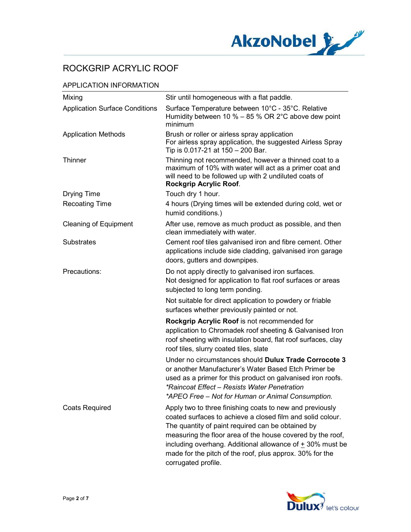

## APPLICATION INFORMATION

| Mixing                                | Stir until homogeneous with a flat paddle.                                                                                                                                                                                                                                                                                                                                                    |
|---------------------------------------|-----------------------------------------------------------------------------------------------------------------------------------------------------------------------------------------------------------------------------------------------------------------------------------------------------------------------------------------------------------------------------------------------|
| <b>Application Surface Conditions</b> | Surface Temperature between 10°C - 35°C. Relative<br>Humidity between 10 % $-$ 85 % OR 2°C above dew point<br>minimum                                                                                                                                                                                                                                                                         |
| <b>Application Methods</b>            | Brush or roller or airless spray application<br>For airless spray application, the suggested Airless Spray<br>Tip is 0.017-21 at 150 - 200 Bar.                                                                                                                                                                                                                                               |
| Thinner                               | Thinning not recommended, however a thinned coat to a<br>maximum of 10% with water will act as a primer coat and<br>will need to be followed up with 2 undiluted coats of<br>Rockgrip Acrylic Roof.                                                                                                                                                                                           |
| <b>Drying Time</b>                    | Touch dry 1 hour.                                                                                                                                                                                                                                                                                                                                                                             |
| <b>Recoating Time</b>                 | 4 hours (Drying times will be extended during cold, wet or<br>humid conditions.)                                                                                                                                                                                                                                                                                                              |
| <b>Cleaning of Equipment</b>          | After use, remove as much product as possible, and then<br>clean immediately with water.                                                                                                                                                                                                                                                                                                      |
| <b>Substrates</b>                     | Cement roof tiles galvanised iron and fibre cement. Other<br>applications include side cladding, galvanised iron garage<br>doors, gutters and downpipes.                                                                                                                                                                                                                                      |
| Precautions:                          | Do not apply directly to galvanised iron surfaces.<br>Not designed for application to flat roof surfaces or areas<br>subjected to long term ponding.                                                                                                                                                                                                                                          |
|                                       | Not suitable for direct application to powdery or friable<br>surfaces whether previously painted or not.                                                                                                                                                                                                                                                                                      |
|                                       | Rockgrip Acrylic Roof is not recommended for<br>application to Chromadek roof sheeting & Galvanised Iron<br>roof sheeting with insulation board, flat roof surfaces, clay<br>roof tiles, slurry coated tiles, slate                                                                                                                                                                           |
|                                       | Under no circumstances should Dulux Trade Corrocote 3<br>or another Manufacturer's Water Based Etch Primer be<br>used as a primer for this product on galvanised iron roofs.<br>*Raincoat Effect - Resists Water Penetration<br>*APEO Free - Not for Human or Animal Consumption.                                                                                                             |
| <b>Coats Required</b>                 | Apply two to three finishing coats to new and previously<br>coated surfaces to achieve a closed film and solid colour.<br>The quantity of paint required can be obtained by<br>measuring the floor area of the house covered by the roof,<br>including overhang. Additional allowance of $\pm$ 30% must be<br>made for the pitch of the roof, plus approx. 30% for the<br>corrugated profile. |

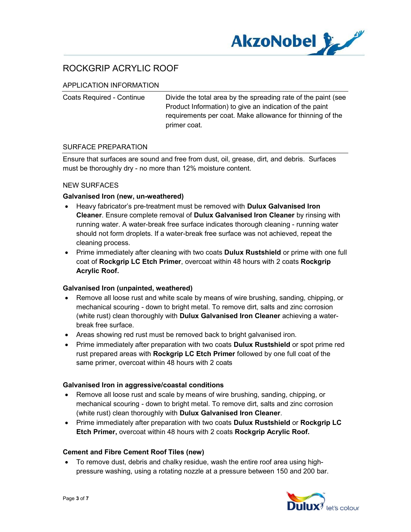

### APPLICATION INFORMATION

Coats Required - Continue Divide the total area by the spreading rate of the paint (see Product Information) to give an indication of the paint requirements per coat. Make allowance for thinning of the primer coat.

#### SURFACE PREPARATION

Ensure that surfaces are sound and free from dust, oil, grease, dirt, and debris. Surfaces must be thoroughly dry - no more than 12% moisture content.

#### NEW SURFACES

#### Galvanised Iron (new, un-weathered)

- Heavy fabricator's pre-treatment must be removed with Dulux Galvanised Iron Cleaner. Ensure complete removal of Dulux Galvanised Iron Cleaner by rinsing with running water. A water-break free surface indicates thorough cleaning - running water should not form droplets. If a water-break free surface was not achieved, repeat the cleaning process.
- Prime immediately after cleaning with two coats **Dulux Rustshield** or prime with one full coat of Rockgrip LC Etch Primer, overcoat within 48 hours with 2 coats Rockgrip Acrylic Roof.

#### Galvanised Iron (unpainted, weathered)

- Remove all loose rust and white scale by means of wire brushing, sanding, chipping, or mechanical scouring - down to bright metal. To remove dirt, salts and zinc corrosion (white rust) clean thoroughly with Dulux Galvanised Iron Cleaner achieving a waterbreak free surface.
- Areas showing red rust must be removed back to bright galvanised iron.
- Prime immediately after preparation with two coats **Dulux Rustshield** or spot prime red rust prepared areas with Rockgrip LC Etch Primer followed by one full coat of the same primer, overcoat within 48 hours with 2 coats

#### Galvanised Iron in aggressive/coastal conditions

- Remove all loose rust and scale by means of wire brushing, sanding, chipping, or mechanical scouring - down to bright metal. To remove dirt, salts and zinc corrosion (white rust) clean thoroughly with Dulux Galvanised Iron Cleaner.
- Prime immediately after preparation with two coats Dulux Rustshield or Rockgrip LC Etch Primer, overcoat within 48 hours with 2 coats Rockgrip Acrylic Roof.

#### Cement and Fibre Cement Roof Tiles (new)

 To remove dust, debris and chalky residue, wash the entire roof area using highpressure washing, using a rotating nozzle at a pressure between 150 and 200 bar.

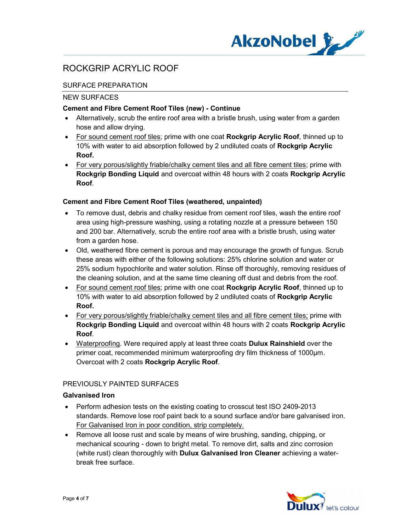

## SURFACE PREPARATION

#### NEW SURFACES

## Cement and Fibre Cement Roof Tiles (new) - Continue

- Alternatively, scrub the entire roof area with a bristle brush, using water from a garden hose and allow drying.
- For sound cement roof tiles; prime with one coat Rockgrip Acrylic Roof, thinned up to 10% with water to aid absorption followed by 2 undiluted coats of Rockgrip Acrylic Roof.
- For very porous/slightly friable/chalky cement tiles and all fibre cement tiles; prime with Rockgrip Bonding Liquid and overcoat within 48 hours with 2 coats Rockgrip Acrylic Roof.

### Cement and Fibre Cement Roof Tiles (weathered, unpainted)

- To remove dust, debris and chalky residue from cement roof tiles, wash the entire roof area using high-pressure washing, using a rotating nozzle at a pressure between 150 and 200 bar. Alternatively, scrub the entire roof area with a bristle brush, using water from a garden hose.
- Old, weathered fibre cement is porous and may encourage the growth of fungus. Scrub these areas with either of the following solutions: 25% chlorine solution and water or 25% sodium hypochlorite and water solution. Rinse off thoroughly, removing residues of the cleaning solution, and at the same time cleaning off dust and debris from the roof.
- For sound cement roof tiles; prime with one coat Rockgrip Acrylic Roof, thinned up to 10% with water to aid absorption followed by 2 undiluted coats of Rockgrip Acrylic Roof.
- For very porous/slightly friable/chalky cement tiles and all fibre cement tiles; prime with Rockgrip Bonding Liquid and overcoat within 48 hours with 2 coats Rockgrip Acrylic Roof.
- Waterproofing. Were required apply at least three coats **Dulux Rainshield** over the primer coat, recommended minimum waterproofing dry film thickness of 1000μm. Overcoat with 2 coats Rockgrip Acrylic Roof.

## PREVIOUSLY PAINTED SURFACES

#### Galvanised Iron

- Perform adhesion tests on the existing coating to crosscut test ISO 2409-2013 standards. Remove lose roof paint back to a sound surface and/or bare galvanised iron. For Galvanised Iron in poor condition, strip completely.
- Remove all loose rust and scale by means of wire brushing, sanding, chipping, or mechanical scouring - down to bright metal. To remove dirt, salts and zinc corrosion (white rust) clean thoroughly with Dulux Galvanised Iron Cleaner achieving a waterbreak free surface.

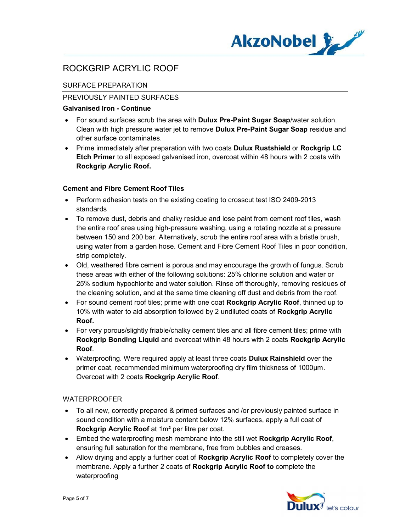

## SURFACE PREPARATION

### PREVIOUSLY PAINTED SURFACES

### Galvanised Iron - Continue

- For sound surfaces scrub the area with **Dulux Pre-Paint Sugar Soap**/water solution. Clean with high pressure water jet to remove Dulux Pre-Paint Sugar Soap residue and other surface contaminates.
- Prime immediately after preparation with two coats Dulux Rustshield or Rockgrip LC Etch Primer to all exposed galvanised iron, overcoat within 48 hours with 2 coats with Rockgrip Acrylic Roof.

### Cement and Fibre Cement Roof Tiles

- Perform adhesion tests on the existing coating to crosscut test ISO 2409-2013 standards
- To remove dust, debris and chalky residue and lose paint from cement roof tiles, wash the entire roof area using high-pressure washing, using a rotating nozzle at a pressure between 150 and 200 bar. Alternatively, scrub the entire roof area with a bristle brush, using water from a garden hose. Cement and Fibre Cement Roof Tiles in poor condition, strip completely.
- Old, weathered fibre cement is porous and may encourage the growth of fungus. Scrub these areas with either of the following solutions: 25% chlorine solution and water or 25% sodium hypochlorite and water solution. Rinse off thoroughly, removing residues of the cleaning solution, and at the same time cleaning off dust and debris from the roof.
- For sound cement roof tiles; prime with one coat Rockgrip Acrylic Roof, thinned up to 10% with water to aid absorption followed by 2 undiluted coats of Rockgrip Acrylic Roof.
- For very porous/slightly friable/chalky cement tiles and all fibre cement tiles; prime with Rockgrip Bonding Liquid and overcoat within 48 hours with 2 coats Rockgrip Acrylic Roof.
- Waterproofing. Were required apply at least three coats Dulux Rainshield over the primer coat, recommended minimum waterproofing dry film thickness of 1000μm. Overcoat with 2 coats Rockgrip Acrylic Roof.

## WATERPROOFER

- To all new, correctly prepared & primed surfaces and /or previously painted surface in sound condition with a moisture content below 12% surfaces, apply a full coat of Rockgrip Acrylic Roof at 1m² per litre per coat.
- Embed the waterproofing mesh membrane into the still wet Rockgrip Acrylic Roof, ensuring full saturation for the membrane, free from bubbles and creases.
- Allow drying and apply a further coat of Rockgrip Acrylic Roof to completely cover the membrane. Apply a further 2 coats of **Rockgrip Acrylic Roof to** complete the waterproofing

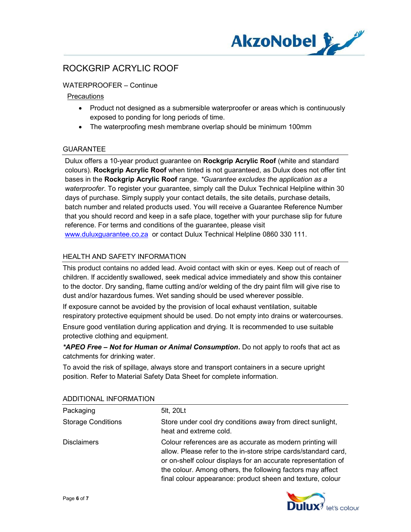

WATERPROOFER – Continue

## **Precautions**

- Product not designed as a submersible waterproofer or areas which is continuously exposed to ponding for long periods of time.
- The waterproofing mesh membrane overlap should be minimum 100mm

## **GUARANTEE**

Dulux offers a 10-year product guarantee on Rockgrip Acrylic Roof (white and standard colours). Rockgrip Acrylic Roof when tinted is not guaranteed, as Dulux does not offer tint bases in the Rockgrip Acrylic Roof range. \*Guarantee excludes the application as a waterproofer. To register your guarantee, simply call the Dulux Technical Helpline within 30 days of purchase. Simply supply your contact details, the site details, purchase details, batch number and related products used. You will receive a Guarantee Reference Number that you should record and keep in a safe place, together with your purchase slip for future reference. For terms and conditions of the guarantee, please visit www.duluxguarantee.co.za or contact Dulux Technical Helpline 0860 330 111.

## HEALTH AND SAFETY INFORMATION

This product contains no added lead. Avoid contact with skin or eyes. Keep out of reach of children. If accidently swallowed, seek medical advice immediately and show this container to the doctor. Dry sanding, flame cutting and/or welding of the dry paint film will give rise to dust and/or hazardous fumes. Wet sanding should be used wherever possible.

If exposure cannot be avoided by the provision of local exhaust ventilation, suitable respiratory protective equipment should be used. Do not empty into drains or watercourses.

Ensure good ventilation during application and drying. It is recommended to use suitable protective clothing and equipment.

\*APEO Free - Not for Human or Animal Consumption. Do not apply to roofs that act as catchments for drinking water.

To avoid the risk of spillage, always store and transport containers in a secure upright position. Refer to Material Safety Data Sheet for complete information.

| Packaging                 | 5lt, 20Lt                                                                                                                                                                                                                                                                                                                 |
|---------------------------|---------------------------------------------------------------------------------------------------------------------------------------------------------------------------------------------------------------------------------------------------------------------------------------------------------------------------|
| <b>Storage Conditions</b> | Store under cool dry conditions away from direct sunlight,<br>heat and extreme cold.                                                                                                                                                                                                                                      |
| <b>Disclaimers</b>        | Colour references are as accurate as modern printing will<br>allow. Please refer to the in-store stripe cards/standard card,<br>or on-shelf colour displays for an accurate representation of<br>the colour. Among others, the following factors may affect<br>final colour appearance: product sheen and texture, colour |

## ADDITIONAL INFORMATION